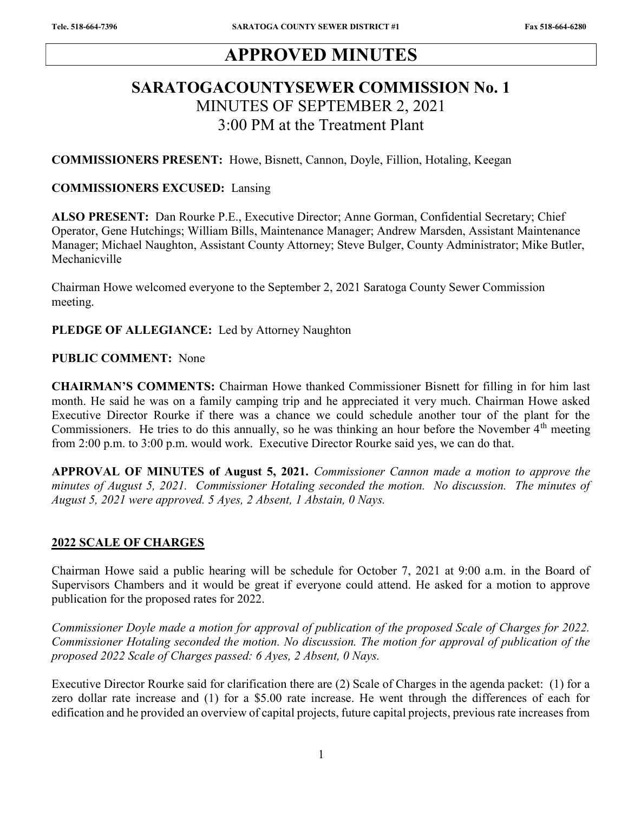# APPROVED MINUTES

# SARATOGACOUNTYSEWER COMMISSION No. 1 MINUTES OF SEPTEMBER 2, 2021 3:00 PM at the Treatment Plant

COMMISSIONERS PRESENT: Howe, Bisnett, Cannon, Doyle, Fillion, Hotaling, Keegan

#### COMMISSIONERS EXCUSED: Lansing

ALSO PRESENT: Dan Rourke P.E., Executive Director; Anne Gorman, Confidential Secretary; Chief Operator, Gene Hutchings; William Bills, Maintenance Manager; Andrew Marsden, Assistant Maintenance Manager; Michael Naughton, Assistant County Attorney; Steve Bulger, County Administrator; Mike Butler, Mechanicville

Chairman Howe welcomed everyone to the September 2, 2021 Saratoga County Sewer Commission meeting.

#### PLEDGE OF ALLEGIANCE: Led by Attorney Naughton

#### PUBLIC COMMENT: None

CHAIRMAN'S COMMENTS: Chairman Howe thanked Commissioner Bisnett for filling in for him last month. He said he was on a family camping trip and he appreciated it very much. Chairman Howe asked Executive Director Rourke if there was a chance we could schedule another tour of the plant for the Commissioners. He tries to do this annually, so he was thinking an hour before the November 4<sup>th</sup> meeting from 2:00 p.m. to 3:00 p.m. would work. Executive Director Rourke said yes, we can do that.

APPROVAL OF MINUTES of August 5, 2021. Commissioner Cannon made a motion to approve the minutes of August 5, 2021. Commissioner Hotaling seconded the motion. No discussion. The minutes of August 5, 2021 were approved. 5 Ayes, 2 Absent, 1 Abstain, 0 Nays.

### 2022 SCALE OF CHARGES

Chairman Howe said a public hearing will be schedule for October 7, 2021 at 9:00 a.m. in the Board of Supervisors Chambers and it would be great if everyone could attend. He asked for a motion to approve publication for the proposed rates for 2022.

Commissioner Doyle made a motion for approval of publication of the proposed Scale of Charges for 2022. Commissioner Hotaling seconded the motion. No discussion. The motion for approval of publication of the proposed 2022 Scale of Charges passed: 6 Ayes, 2 Absent, 0 Nays.

Executive Director Rourke said for clarification there are (2) Scale of Charges in the agenda packet: (1) for a zero dollar rate increase and (1) for a \$5.00 rate increase. He went through the differences of each for edification and he provided an overview of capital projects, future capital projects, previous rate increases from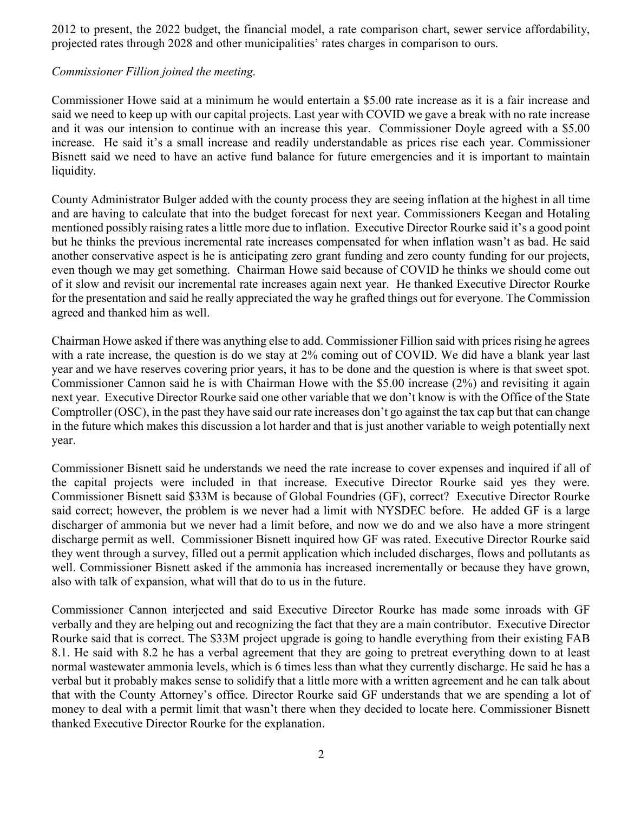2012 to present, the 2022 budget, the financial model, a rate comparison chart, sewer service affordability, projected rates through 2028 and other municipalities' rates charges in comparison to ours.

### Commissioner Fillion joined the meeting.

Commissioner Howe said at a minimum he would entertain a \$5.00 rate increase as it is a fair increase and said we need to keep up with our capital projects. Last year with COVID we gave a break with no rate increase and it was our intension to continue with an increase this year. Commissioner Doyle agreed with a \$5.00 increase. He said it's a small increase and readily understandable as prices rise each year. Commissioner Bisnett said we need to have an active fund balance for future emergencies and it is important to maintain liquidity.

County Administrator Bulger added with the county process they are seeing inflation at the highest in all time and are having to calculate that into the budget forecast for next year. Commissioners Keegan and Hotaling mentioned possibly raising rates a little more due to inflation. Executive Director Rourke said it's a good point but he thinks the previous incremental rate increases compensated for when inflation wasn't as bad. He said another conservative aspect is he is anticipating zero grant funding and zero county funding for our projects, even though we may get something. Chairman Howe said because of COVID he thinks we should come out of it slow and revisit our incremental rate increases again next year. He thanked Executive Director Rourke for the presentation and said he really appreciated the way he grafted things out for everyone. The Commission agreed and thanked him as well.

Chairman Howe asked if there was anything else to add. Commissioner Fillion said with prices rising he agrees with a rate increase, the question is do we stay at 2% coming out of COVID. We did have a blank year last year and we have reserves covering prior years, it has to be done and the question is where is that sweet spot. Commissioner Cannon said he is with Chairman Howe with the \$5.00 increase (2%) and revisiting it again next year. Executive Director Rourke said one other variable that we don't know is with the Office of the State Comptroller (OSC), in the past they have said our rate increases don't go against the tax cap but that can change in the future which makes this discussion a lot harder and that is just another variable to weigh potentially next year.

Commissioner Bisnett said he understands we need the rate increase to cover expenses and inquired if all of the capital projects were included in that increase. Executive Director Rourke said yes they were. Commissioner Bisnett said \$33M is because of Global Foundries (GF), correct? Executive Director Rourke said correct; however, the problem is we never had a limit with NYSDEC before. He added GF is a large discharger of ammonia but we never had a limit before, and now we do and we also have a more stringent discharge permit as well. Commissioner Bisnett inquired how GF was rated. Executive Director Rourke said they went through a survey, filled out a permit application which included discharges, flows and pollutants as well. Commissioner Bisnett asked if the ammonia has increased incrementally or because they have grown, also with talk of expansion, what will that do to us in the future.

Commissioner Cannon interjected and said Executive Director Rourke has made some inroads with GF verbally and they are helping out and recognizing the fact that they are a main contributor. Executive Director Rourke said that is correct. The \$33M project upgrade is going to handle everything from their existing FAB 8.1. He said with 8.2 he has a verbal agreement that they are going to pretreat everything down to at least normal wastewater ammonia levels, which is 6 times less than what they currently discharge. He said he has a verbal but it probably makes sense to solidify that a little more with a written agreement and he can talk about that with the County Attorney's office. Director Rourke said GF understands that we are spending a lot of money to deal with a permit limit that wasn't there when they decided to locate here. Commissioner Bisnett thanked Executive Director Rourke for the explanation.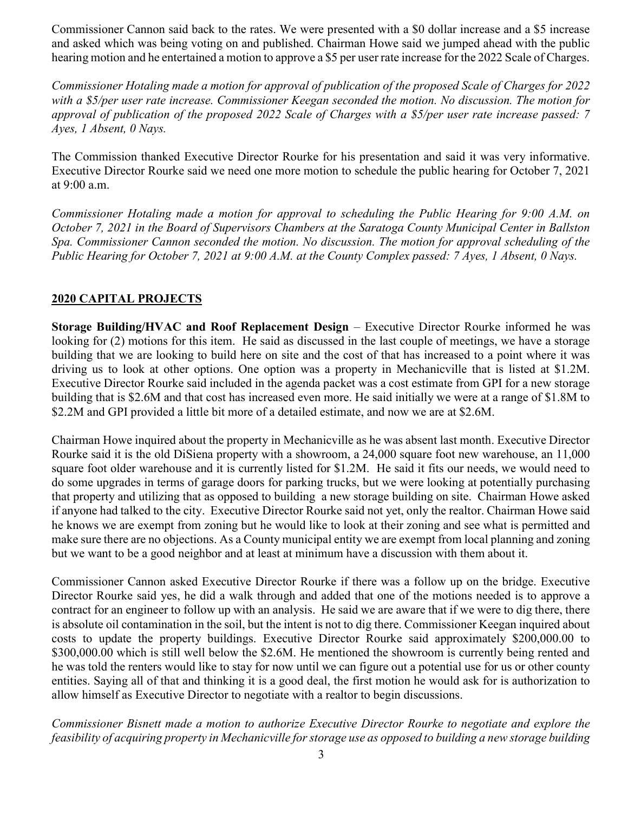Commissioner Cannon said back to the rates. We were presented with a \$0 dollar increase and a \$5 increase and asked which was being voting on and published. Chairman Howe said we jumped ahead with the public hearing motion and he entertained a motion to approve a \$5 per user rate increase for the 2022 Scale of Charges.

Commissioner Hotaling made a motion for approval of publication of the proposed Scale of Charges for 2022 with a \$5/per user rate increase. Commissioner Keegan seconded the motion. No discussion. The motion for approval of publication of the proposed 2022 Scale of Charges with a \$5/per user rate increase passed: 7 Ayes, 1 Absent, 0 Nays.

The Commission thanked Executive Director Rourke for his presentation and said it was very informative. Executive Director Rourke said we need one more motion to schedule the public hearing for October 7, 2021 at 9:00 a.m.

Commissioner Hotaling made a motion for approval to scheduling the Public Hearing for 9:00 A.M. on October 7, 2021 in the Board of Supervisors Chambers at the Saratoga County Municipal Center in Ballston Spa. Commissioner Cannon seconded the motion. No discussion. The motion for approval scheduling of the Public Hearing for October 7, 2021 at 9:00 A.M. at the County Complex passed: 7 Ayes, 1 Absent, 0 Nays.

## 2020 CAPITAL PROJECTS

Storage Building/HVAC and Roof Replacement Design – Executive Director Rourke informed he was looking for (2) motions for this item. He said as discussed in the last couple of meetings, we have a storage building that we are looking to build here on site and the cost of that has increased to a point where it was driving us to look at other options. One option was a property in Mechanicville that is listed at \$1.2M. Executive Director Rourke said included in the agenda packet was a cost estimate from GPI for a new storage building that is \$2.6M and that cost has increased even more. He said initially we were at a range of \$1.8M to \$2.2M and GPI provided a little bit more of a detailed estimate, and now we are at \$2.6M.

Chairman Howe inquired about the property in Mechanicville as he was absent last month. Executive Director Rourke said it is the old DiSiena property with a showroom, a 24,000 square foot new warehouse, an 11,000 square foot older warehouse and it is currently listed for \$1.2M. He said it fits our needs, we would need to do some upgrades in terms of garage doors for parking trucks, but we were looking at potentially purchasing that property and utilizing that as opposed to building a new storage building on site. Chairman Howe asked if anyone had talked to the city. Executive Director Rourke said not yet, only the realtor. Chairman Howe said he knows we are exempt from zoning but he would like to look at their zoning and see what is permitted and make sure there are no objections. As a County municipal entity we are exempt from local planning and zoning but we want to be a good neighbor and at least at minimum have a discussion with them about it.

Commissioner Cannon asked Executive Director Rourke if there was a follow up on the bridge. Executive Director Rourke said yes, he did a walk through and added that one of the motions needed is to approve a contract for an engineer to follow up with an analysis. He said we are aware that if we were to dig there, there is absolute oil contamination in the soil, but the intent is not to dig there. Commissioner Keegan inquired about costs to update the property buildings. Executive Director Rourke said approximately \$200,000.00 to \$300,000.00 which is still well below the \$2.6M. He mentioned the showroom is currently being rented and he was told the renters would like to stay for now until we can figure out a potential use for us or other county entities. Saying all of that and thinking it is a good deal, the first motion he would ask for is authorization to allow himself as Executive Director to negotiate with a realtor to begin discussions.

Commissioner Bisnett made a motion to authorize Executive Director Rourke to negotiate and explore the feasibility of acquiring property in Mechanicville for storage use as opposed to building a new storage building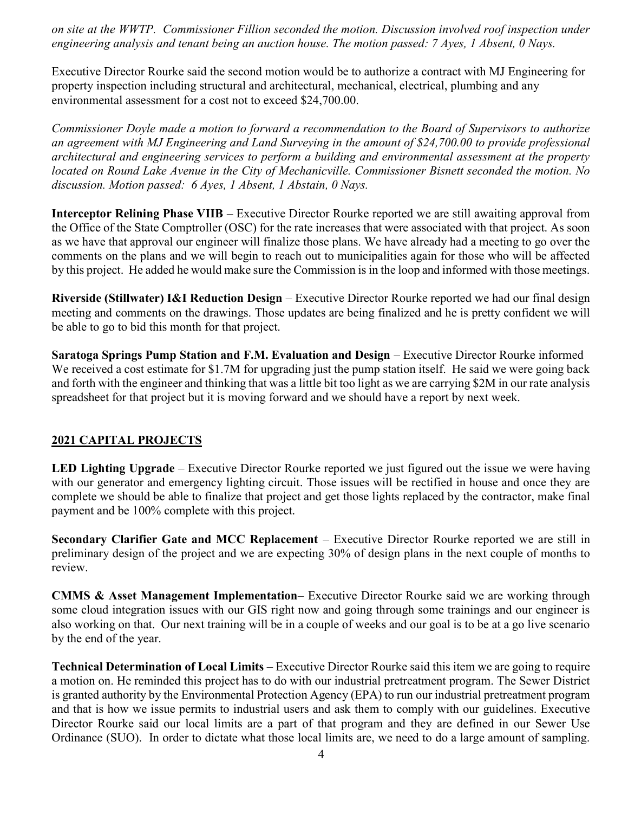on site at the WWTP. Commissioner Fillion seconded the motion. Discussion involved roof inspection under engineering analysis and tenant being an auction house. The motion passed: 7 Ayes, 1 Absent, 0 Nays.

Executive Director Rourke said the second motion would be to authorize a contract with MJ Engineering for property inspection including structural and architectural, mechanical, electrical, plumbing and any environmental assessment for a cost not to exceed \$24,700.00.

Commissioner Doyle made a motion to forward a recommendation to the Board of Supervisors to authorize an agreement with MJ Engineering and Land Surveying in the amount of \$24,700.00 to provide professional architectural and engineering services to perform a building and environmental assessment at the property located on Round Lake Avenue in the City of Mechanicville. Commissioner Bisnett seconded the motion. No discussion. Motion passed: 6 Ayes, 1 Absent, 1 Abstain, 0 Nays.

Interceptor Relining Phase VIIB – Executive Director Rourke reported we are still awaiting approval from the Office of the State Comptroller (OSC) for the rate increases that were associated with that project. As soon as we have that approval our engineer will finalize those plans. We have already had a meeting to go over the comments on the plans and we will begin to reach out to municipalities again for those who will be affected by this project. He added he would make sure the Commission is in the loop and informed with those meetings.

Riverside (Stillwater) I&I Reduction Design – Executive Director Rourke reported we had our final design meeting and comments on the drawings. Those updates are being finalized and he is pretty confident we will be able to go to bid this month for that project.

Saratoga Springs Pump Station and F.M. Evaluation and Design – Executive Director Rourke informed We received a cost estimate for \$1.7M for upgrading just the pump station itself. He said we were going back and forth with the engineer and thinking that was a little bit too light as we are carrying \$2M in our rate analysis spreadsheet for that project but it is moving forward and we should have a report by next week.

# 2021 CAPITAL PROJECTS

LED Lighting Upgrade – Executive Director Rourke reported we just figured out the issue we were having with our generator and emergency lighting circuit. Those issues will be rectified in house and once they are complete we should be able to finalize that project and get those lights replaced by the contractor, make final payment and be 100% complete with this project.

Secondary Clarifier Gate and MCC Replacement – Executive Director Rourke reported we are still in preliminary design of the project and we are expecting 30% of design plans in the next couple of months to review.

CMMS & Asset Management Implementation– Executive Director Rourke said we are working through some cloud integration issues with our GIS right now and going through some trainings and our engineer is also working on that. Our next training will be in a couple of weeks and our goal is to be at a go live scenario by the end of the year.

Technical Determination of Local Limits – Executive Director Rourke said this item we are going to require a motion on. He reminded this project has to do with our industrial pretreatment program. The Sewer District is granted authority by the Environmental Protection Agency (EPA) to run our industrial pretreatment program and that is how we issue permits to industrial users and ask them to comply with our guidelines. Executive Director Rourke said our local limits are a part of that program and they are defined in our Sewer Use Ordinance (SUO). In order to dictate what those local limits are, we need to do a large amount of sampling.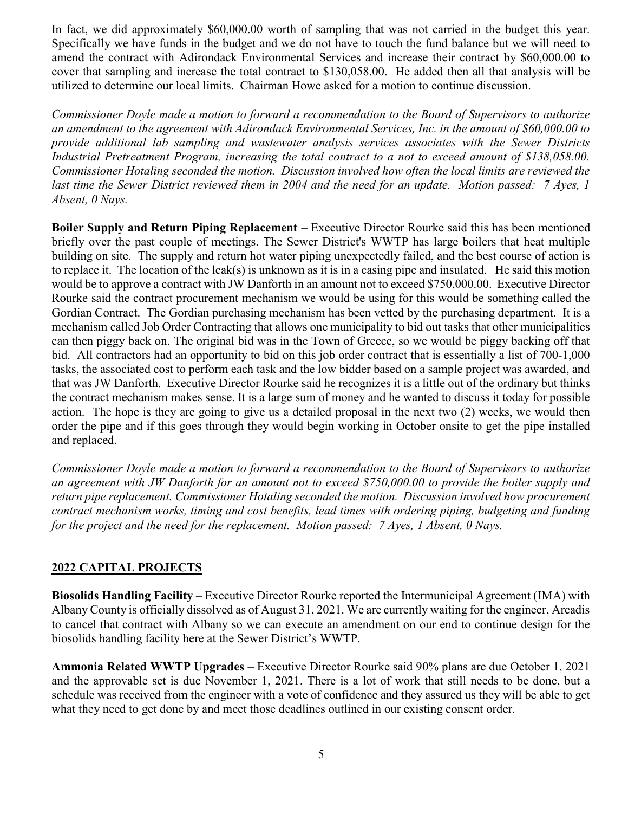In fact, we did approximately \$60,000.00 worth of sampling that was not carried in the budget this year. Specifically we have funds in the budget and we do not have to touch the fund balance but we will need to amend the contract with Adirondack Environmental Services and increase their contract by \$60,000.00 to cover that sampling and increase the total contract to \$130,058.00. He added then all that analysis will be utilized to determine our local limits. Chairman Howe asked for a motion to continue discussion.

Commissioner Doyle made a motion to forward a recommendation to the Board of Supervisors to authorize an amendment to the agreement with Adirondack Environmental Services, Inc. in the amount of \$60,000.00 to provide additional lab sampling and wastewater analysis services associates with the Sewer Districts Industrial Pretreatment Program, increasing the total contract to a not to exceed amount of \$138,058.00. Commissioner Hotaling seconded the motion. Discussion involved how often the local limits are reviewed the last time the Sewer District reviewed them in 2004 and the need for an update. Motion passed: 7 Ayes, 1 Absent, 0 Nays.

Boiler Supply and Return Piping Replacement – Executive Director Rourke said this has been mentioned briefly over the past couple of meetings. The Sewer District's WWTP has large boilers that heat multiple building on site. The supply and return hot water piping unexpectedly failed, and the best course of action is to replace it. The location of the leak(s) is unknown as it is in a casing pipe and insulated. He said this motion would be to approve a contract with JW Danforth in an amount not to exceed \$750,000.00. Executive Director Rourke said the contract procurement mechanism we would be using for this would be something called the Gordian Contract. The Gordian purchasing mechanism has been vetted by the purchasing department. It is a mechanism called Job Order Contracting that allows one municipality to bid out tasks that other municipalities can then piggy back on. The original bid was in the Town of Greece, so we would be piggy backing off that bid. All contractors had an opportunity to bid on this job order contract that is essentially a list of 700-1,000 tasks, the associated cost to perform each task and the low bidder based on a sample project was awarded, and that was JW Danforth. Executive Director Rourke said he recognizes it is a little out of the ordinary but thinks the contract mechanism makes sense. It is a large sum of money and he wanted to discuss it today for possible action. The hope is they are going to give us a detailed proposal in the next two (2) weeks, we would then order the pipe and if this goes through they would begin working in October onsite to get the pipe installed and replaced.

Commissioner Doyle made a motion to forward a recommendation to the Board of Supervisors to authorize an agreement with JW Danforth for an amount not to exceed \$750,000.00 to provide the boiler supply and return pipe replacement. Commissioner Hotaling seconded the motion. Discussion involved how procurement contract mechanism works, timing and cost benefits, lead times with ordering piping, budgeting and funding for the project and the need for the replacement. Motion passed: 7 Ayes, 1 Absent, 0 Nays.

### 2022 CAPITAL PROJECTS

Biosolids Handling Facility – Executive Director Rourke reported the Intermunicipal Agreement (IMA) with Albany County is officially dissolved as of August 31, 2021. We are currently waiting for the engineer, Arcadis to cancel that contract with Albany so we can execute an amendment on our end to continue design for the biosolids handling facility here at the Sewer District's WWTP.

Ammonia Related WWTP Upgrades – Executive Director Rourke said 90% plans are due October 1, 2021 and the approvable set is due November 1, 2021. There is a lot of work that still needs to be done, but a schedule was received from the engineer with a vote of confidence and they assured us they will be able to get what they need to get done by and meet those deadlines outlined in our existing consent order.